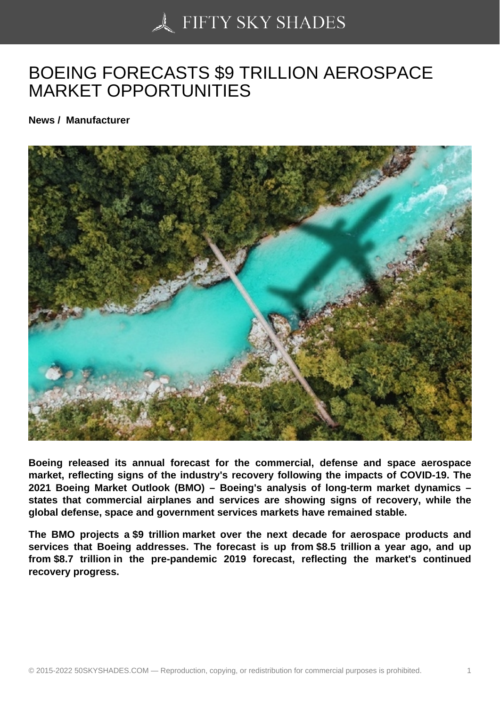## [BOEING FORECASTS](https://50skyshades.com) \$9 TRILLION AEROSPACE MARKET OPPORTUNITIES

News / Manufacturer

Boeing released its annual forecast for the commercial, defense and space aerospace market, reflecting signs of the industry's recovery following the impacts of COVID-19. The 2021 Boeing Market Outlook (BMO) – Boeing's analysis of long-term market dynamics – states that commercial airplanes and services are showing signs of recovery, while the global defense, space and government services markets have remained stable.

The BMO projects a \$9 trillion market over the next decade for aerospace products and services that Boeing addresses. The forecast is up from \$8.5 trillion a year ago, and up from \$8.7 trillion in the pre-pandemic 2019 forecast, reflecting the market's continued recovery progress.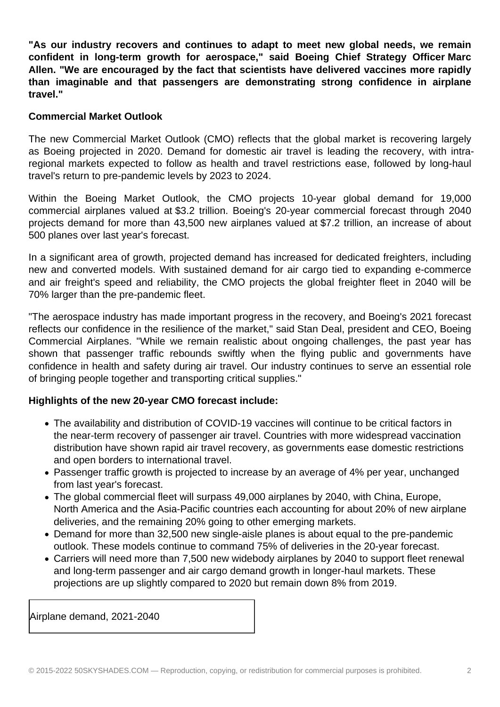**"As our industry recovers and continues to adapt to meet new global needs, we remain confident in long-term growth for aerospace," said Boeing Chief Strategy Officer Marc Allen. "We are encouraged by the fact that scientists have delivered vaccines more rapidly than imaginable and that passengers are demonstrating strong confidence in airplane travel."**

## **Commercial Market Outlook**

The new Commercial Market Outlook (CMO) reflects that the global market is recovering largely as Boeing projected in 2020. Demand for domestic air travel is leading the recovery, with intraregional markets expected to follow as health and travel restrictions ease, followed by long-haul travel's return to pre-pandemic levels by 2023 to 2024.

Within the Boeing Market Outlook, the CMO projects 10-year global demand for 19,000 commercial airplanes valued at \$3.2 trillion. Boeing's 20-year commercial forecast through 2040 projects demand for more than 43,500 new airplanes valued at \$7.2 trillion, an increase of about 500 planes over last year's forecast.

In a significant area of growth, projected demand has increased for dedicated freighters, including new and converted models. With sustained demand for air cargo tied to expanding e-commerce and air freight's speed and reliability, the CMO projects the global freighter fleet in 2040 will be 70% larger than the pre-pandemic fleet.

"The aerospace industry has made important progress in the recovery, and Boeing's 2021 forecast reflects our confidence in the resilience of the market," said Stan Deal, president and CEO, Boeing Commercial Airplanes. "While we remain realistic about ongoing challenges, the past year has shown that passenger traffic rebounds swiftly when the flying public and governments have confidence in health and safety during air travel. Our industry continues to serve an essential role of bringing people together and transporting critical supplies."

## **Highlights of the new 20-year CMO forecast include:**

- The availability and distribution of COVID-19 vaccines will continue to be critical factors in the near-term recovery of passenger air travel. Countries with more widespread vaccination distribution have shown rapid air travel recovery, as governments ease domestic restrictions and open borders to international travel.
- Passenger traffic growth is projected to increase by an average of 4% per year, unchanged from last year's forecast.
- The global commercial fleet will surpass 49,000 airplanes by 2040, with China, Europe, North America and the Asia-Pacific countries each accounting for about 20% of new airplane deliveries, and the remaining 20% going to other emerging markets.
- Demand for more than 32,500 new single-aisle planes is about equal to the pre-pandemic outlook. These models continue to command 75% of deliveries in the 20-year forecast.
- Carriers will need more than 7,500 new widebody airplanes by 2040 to support fleet renewal and long-term passenger and air cargo demand growth in longer-haul markets. These projections are up slightly compared to 2020 but remain down 8% from 2019.

Airplane demand, 2021-2040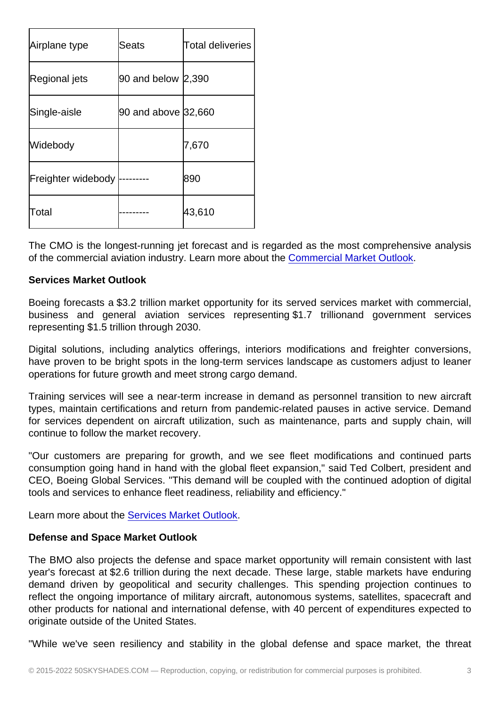| Airplane type      | Seats               | Total deliveries |
|--------------------|---------------------|------------------|
| Regional jets      | 90 and below 2,390  |                  |
| Single-aisle       | 90 and above 32,660 |                  |
| Widebody           |                     | 7,670            |
| Freighter widebody |                     | 890              |
| Total              |                     | 43,610           |

The CMO is the longest-running jet forecast and is regarded as the most comprehensive analysis of the commercial aviation industry. Learn more about the Commercial Market Outlook.

Services Market Outlook

Boeing forecasts a \$3.2 trillion market opportunity for its [served services market with](https://c212.net/c/link/?t=0&l=en&o=3288908-1&h=2986070527&u=https://www.boeing.com/commercial/market/commercial-market-outlook/&a=Commercial+Market+Outlook) commercial, business and general aviation services representing \$1.7 trillionand government services representing \$1.5 trillion through 2030.

Digital solutions, including analytics offerings, interiors modifications and freighter conversions, have proven to be bright spots in the long-term services landscape as customers adjust to leaner operations for future growth and meet strong cargo demand.

Training services will see a near-term increase in demand as personnel transition to new aircraft types, maintain certifications and return from pandemic-related pauses in active service. Demand for services dependent on aircraft utilization, such as maintenance, parts and supply chain, will continue to follow the market recovery.

"Our customers are preparing for growth, and we see fleet modifications and continued parts consumption going hand in hand with the global fleet expansion," said Ted Colbert, president and CEO, Boeing Global Services. "This demand will be coupled with the continued adoption of digital tools and services to enhance fleet readiness, reliability and efficiency."

Learn more about the Services Market Outlook.

## Defense and Space Market Outlook

The BMO also projec[ts the defense and space](https://c212.net/c/link/?t=0&l=en&o=3288908-1&h=3529302273&u=https://www.boeing.com/commercial/market/services-market-outlook/&a=Services+Market+Outlook) market opportunity will remain consistent with last year's forecast at \$2.6 trillion during the next decade. These large, stable markets have enduring demand driven by geopolitical and security challenges. This spending projection continues to reflect the ongoing importance of military aircraft, autonomous systems, satellites, spacecraft and other products for national and international defense, with 40 percent of expenditures expected to originate outside of the United States.

"While we've seen resiliency and stability in the global defense and space market, the threat